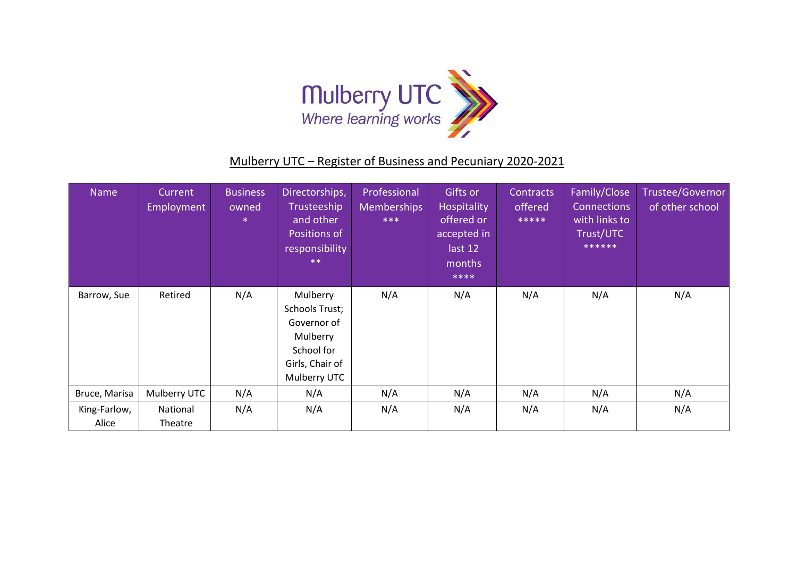

## Mulberry UTC – Register of Business and Pecuniary 2020-2021

| Name                  | Current<br>Employment | <b>Business</b><br>owned<br>$\ast$ | Directorships,<br>Trusteeship<br>and other<br>Positions of<br>responsibility<br>$***$                  | Professional<br><b>Memberships</b><br>$***$ | Gifts or<br>Hospitality<br>offered or<br>accepted in<br>last 12<br>months<br>**** | Contracts<br>offered<br>***** | Family/Close<br><b>Connections</b><br>with links to<br>Trust/UTC<br>****** | Trustee/Governor<br>of other school |
|-----------------------|-----------------------|------------------------------------|--------------------------------------------------------------------------------------------------------|---------------------------------------------|-----------------------------------------------------------------------------------|-------------------------------|----------------------------------------------------------------------------|-------------------------------------|
| Barrow, Sue           | Retired               | N/A                                | Mulberry<br>Schools Trust;<br>Governor of<br>Mulberry<br>School for<br>Girls, Chair of<br>Mulberry UTC | N/A                                         | N/A                                                                               | N/A                           | N/A                                                                        | N/A                                 |
| Bruce, Marisa         | Mulberry UTC          | N/A                                | N/A                                                                                                    | N/A                                         | N/A                                                                               | N/A                           | N/A                                                                        | N/A                                 |
| King-Farlow,<br>Alice | National<br>Theatre   | N/A                                | N/A                                                                                                    | N/A                                         | N/A                                                                               | N/A                           | N/A                                                                        | N/A                                 |